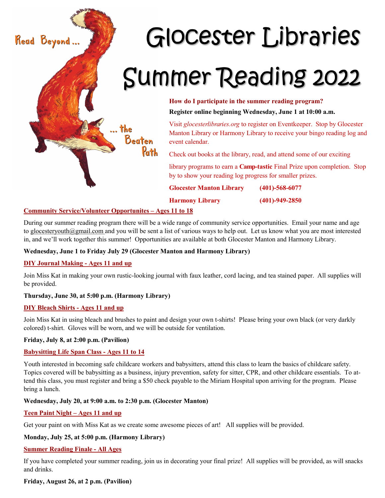

# **How do I participate in the summer reading program? Register online beginning Wednesday, June 1 at 10:00 a.m.**

Visit *glocesterlibraries.org* to register on Eventkeeper. Stop by Glocester Manton Library or Harmony Library to receive your bingo reading log and

Check out books at the library, read, and attend some of our exciting

library programs to earn a **Camp-tastic** Final Prize upon completion. Stop by to show your reading log progress for smaller prizes.

**Glocester Manton Library (401)-568-6077**

**Harmony Library (401)-949-2850**

### **Community Service/Volunteer Opportunites – Ages 11 to 18**

During our summer reading program there will be a wide range of community service opportunities. Email your name and age to glocesteryouth@gmail.com and you will be sent a list of various ways to help out. Let us know what you are most interested in, and we'll work together this summer! Opportunities are available at both Glocester Manton and Harmony Library.

#### **Wednesday, June 1 to Friday July 29 (Glocester Manton and Harmony Library)**

#### **DIY Journal Making - Ages 11 and up**

Join Miss Kat in making your own rustic-looking journal with faux leather, cord lacing, and tea stained paper. All supplies will be provided.

## **Thursday, June 30, at 5:00 p.m. (Harmony Library)**

#### **DIY Bleach Shirts - Ages 11 and up**

Join Miss Kat in using bleach and brushes to paint and design your own t-shirts! Please bring your own black (or very darkly colored) t-shirt. Gloves will be worn, and we will be outside for ventilation.

#### **Friday, July 8, at 2:00 p.m. (Pavilion)**

#### **Babysitting Life Span Class - Ages 11 to 14**

Youth interested in becoming safe childcare workers and babysitters, attend this class to learn the basics of childcare safety. Topics covered will be babysitting as a business, injury prevention, safety for sitter, CPR, and other childcare essentials. To attend this class, you must register and bring a \$50 check payable to the Miriam Hospital upon arriving for the program. Please bring a lunch.

#### **Wednesday, July 20, at 9:00 a.m. to 2:30 p.m. (Glocester Manton)**

#### **Teen Paint Night – Ages 11 and up**

Get your paint on with Miss Kat as we create some awesome pieces of art! All supplies will be provided.

#### **Monday, July 25, at 5:00 p.m. (Harmony Library)**

#### **Summer Reading Finale - All Ages**

If you have completed your summer reading, join us in decorating your final prize! All supplies will be provided, as will snacks and drinks.

## **Friday, August 26, at 2 p.m. (Pavilion)**